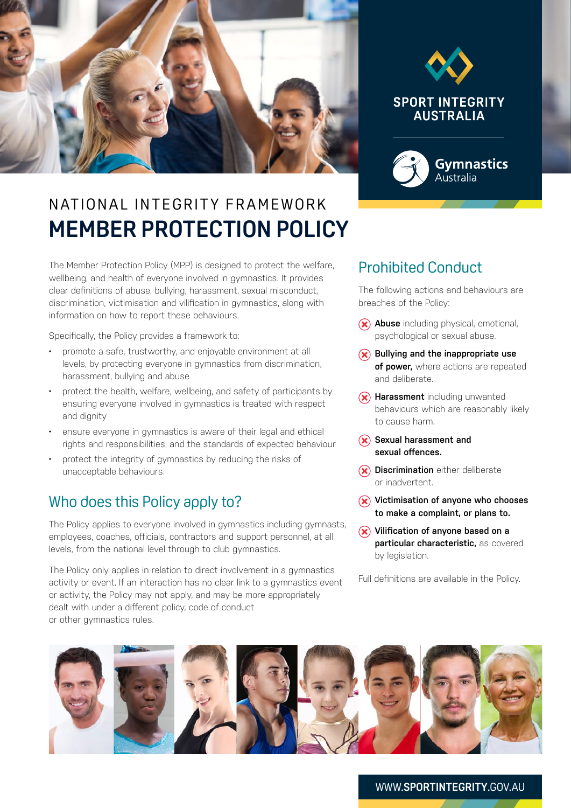



# N AT IONAL IN TEGRITY FRAMEWORK **MEMBER PROTECTION POLICY**

The Member Protection Policy (MPP) is designed to protect the welfare, wellbeing, and health of everyone involved in gymnastics. It provides clear definitions of abuse, bullying, harassment, sexual misconduct, discrimination, victimisation and vilification in gymnastics, along with information on how to report these behaviours.

Specifically, the Policy provides a framework to:

- promote a safe, trustworthy, and enjoyable environment at all levels, by protecting everyone in gymnastics from discrimination, harassment, bullying and abuse
- protect the health, welfare, wellbeing, and safety of participants by ensuring everyone involved in gymnastics is treated with respect and dignity
- ensure everyone in gymnastics is aware of their legal and ethical rights and responsibilities, and the standards of expected behaviour
- protect the integrity of gymnastics by reducing the risks of unacceptable behaviours.

## Who does this Policy apply to?

The Policy applies to everyone involved in gymnastics including gymnasts, employees, coaches, officials, contractors and support personnel, at all levels, from the national level through to club gymnastics.

The Policy only applies in relation to direct involvement in a gymnastics activity or event. If an interaction has no clear link to a gymnastics event or activity, the Policy may not apply, and may be more appropriately dealt with under a different policy, code of conduct or other gymnastics rules.

### Prohibited Conduct

The following actions and behaviours are breaches of the Policy:

- **Abuse** including physical, emotional, psychological or sexual abuse.
- $(\hat{\mathbf{x}})$  Bullying and the inappropriate use **of power,** where actions are repeated and deliberate.
- **(x) Harassment** including unwanted behaviours which are reasonably likely to cause harm.
- **Sexual harassment and sexual offences.**
- **Discrimination** either deliberate or inadvertent.
- **Victimisation of anyone who chooses to make a complaint, or plans to.**
- **Vilification of anyone based on a particular characteristic,** as covered by legislation.

Full definitions are available in the Policy.



#### WWW.**SPORTINTEGRITY**.GOV.AU